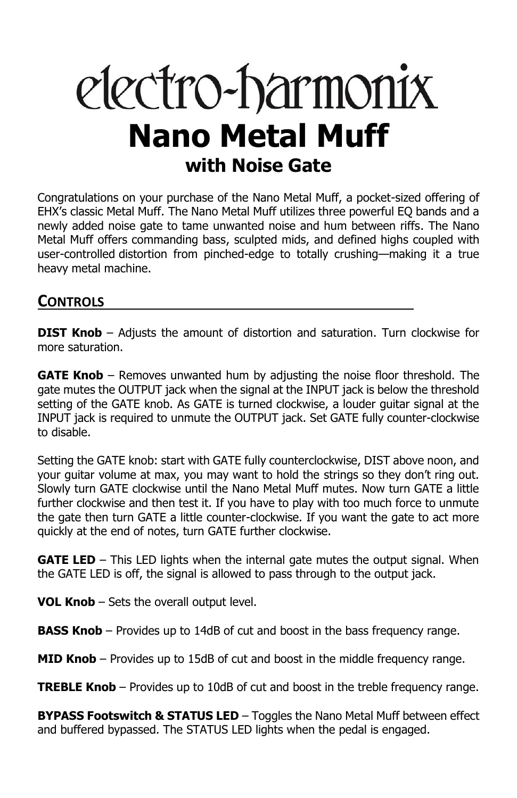# electro-harmonix **Nano Metal Muff with Noise Gate**

Congratulations on your purchase of the Nano Metal Muff, a pocket-sized offering of EHX's classic Metal Muff. The Nano Metal Muff utilizes three powerful EQ bands and a newly added noise gate to tame unwanted noise and hum between riffs. The Nano Metal Muff offers commanding bass, sculpted mids, and defined highs coupled with user-controlled distortion from pinched-edge to totally crushing—making it a true heavy metal machine.

## **CONTROLS**

**DIST Knob** – Adjusts the amount of distortion and saturation. Turn clockwise for more saturation.

**GATE Knob** – Removes unwanted hum by adjusting the noise floor threshold. The gate mutes the OUTPUT jack when the signal at the INPUT jack is below the threshold setting of the GATE knob. As GATE is turned clockwise, a louder guitar signal at the INPUT jack is required to unmute the OUTPUT jack. Set GATE fully counter-clockwise to disable.

Setting the GATE knob: start with GATE fully counterclockwise, DIST above noon, and your guitar volume at max, you may want to hold the strings so they don't ring out. Slowly turn GATE clockwise until the Nano Metal Muff mutes. Now turn GATE a little further clockwise and then test it. If you have to play with too much force to unmute the gate then turn GATE a little counter-clockwise. If you want the gate to act more quickly at the end of notes, turn GATE further clockwise.

**GATE LED** – This LED lights when the internal gate mutes the output signal. When the GATE LED is off, the signal is allowed to pass through to the output jack.

**VOL Knob** – Sets the overall output level.

**BASS Knob** – Provides up to 14dB of cut and boost in the bass frequency range.

**MID Knob** – Provides up to 15dB of cut and boost in the middle frequency range.

**TREBLE Knob** – Provides up to 10dB of cut and boost in the treble frequency range.

**BYPASS Footswitch & STATUS LED** – Toggles the Nano Metal Muff between effect and buffered bypassed. The STATUS LED lights when the pedal is engaged.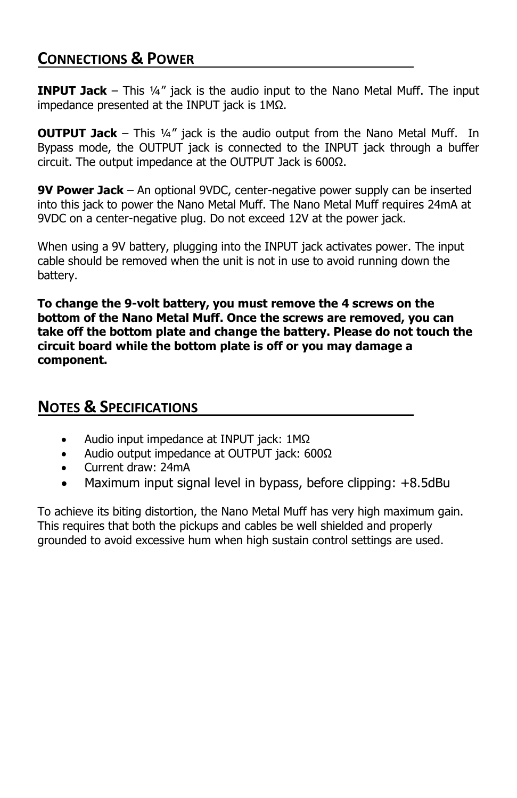### **CONNECTIONS & POWER**

**INPUT Jack** – This ¼" jack is the audio input to the Nano Metal Muff. The input impedance presented at the INPUT jack is 1MΩ.

**OUTPUT Jack** – This ¼" jack is the audio output from the Nano Metal Muff. In Bypass mode, the OUTPUT jack is connected to the INPUT jack through a buffer circuit. The output impedance at the OUTPUT Jack is 600Ω.

**9V Power Jack** – An optional 9VDC, center-negative power supply can be inserted into this jack to power the Nano Metal Muff. The Nano Metal Muff requires 24mA at 9VDC on a center-negative plug. Do not exceed 12V at the power jack.

When using a 9V battery, plugging into the INPUT jack activates power. The input cable should be removed when the unit is not in use to avoid running down the battery.

**To change the 9-volt battery, you must remove the 4 screws on the bottom of the Nano Metal Muff. Once the screws are removed, you can take off the bottom plate and change the battery. Please do not touch the circuit board while the bottom plate is off or you may damage a component.**

#### **NOTES & SPECIFICATIONS**

- Audio input impedance at INPUT jack: 1MΩ
- Audio output impedance at OUTPUT jack: 600Ω
- Current draw: 24mA
- Maximum input signal level in bypass, before clipping: +8.5dBu

To achieve its biting distortion, the Nano Metal Muff has very high maximum gain. This requires that both the pickups and cables be well shielded and properly grounded to avoid excessive hum when high sustain control settings are used.